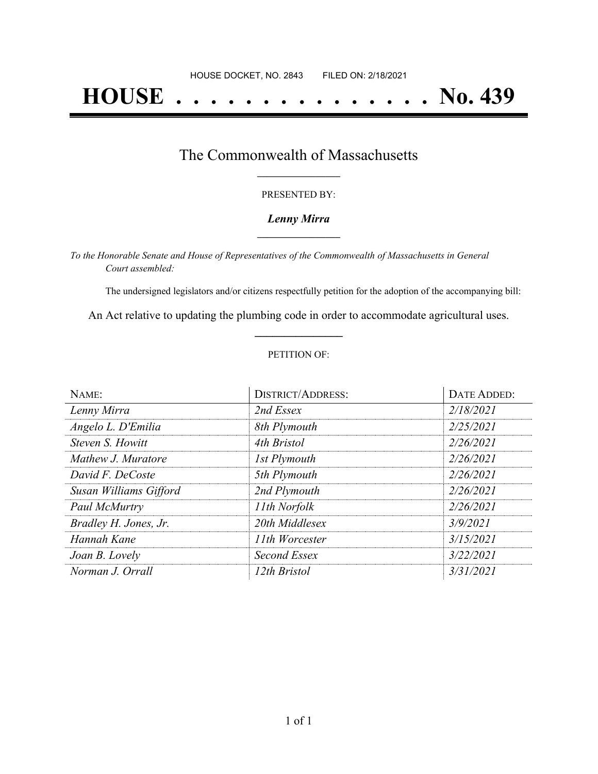# **HOUSE . . . . . . . . . . . . . . . No. 439**

### The Commonwealth of Massachusetts **\_\_\_\_\_\_\_\_\_\_\_\_\_\_\_\_\_**

#### PRESENTED BY:

#### *Lenny Mirra* **\_\_\_\_\_\_\_\_\_\_\_\_\_\_\_\_\_**

*To the Honorable Senate and House of Representatives of the Commonwealth of Massachusetts in General Court assembled:*

The undersigned legislators and/or citizens respectfully petition for the adoption of the accompanying bill:

An Act relative to updating the plumbing code in order to accommodate agricultural uses. **\_\_\_\_\_\_\_\_\_\_\_\_\_\_\_**

#### PETITION OF:

| NAME:                  | <b>DISTRICT/ADDRESS:</b> | DATE ADDED: |
|------------------------|--------------------------|-------------|
| Lenny Mirra            | 2nd Essex                | 2/18/2021   |
| Angelo L. D'Emilia     | 8th Plymouth             | 2/25/2021   |
| Steven S. Howitt       | 4th Bristol              | 2/26/2021   |
| Mathew J. Muratore     | 1st Plymouth             | 2/26/2021   |
| David F. DeCoste       | 5th Plymouth             | 2/26/2021   |
| Susan Williams Gifford | 2nd Plymouth             | 2/26/2021   |
| Paul McMurtry          | 11th Norfolk             | 2/26/2021   |
| Bradley H. Jones, Jr.  | 20th Middlesex           | 3/9/2021    |
| Hannah Kane            | 11th Worcester           | 3/15/2021   |
| Joan B. Lovely         | Second Essex             | 3/22/2021   |
| Norman J. Orrall       | 12th Bristol             | 3/31/2021   |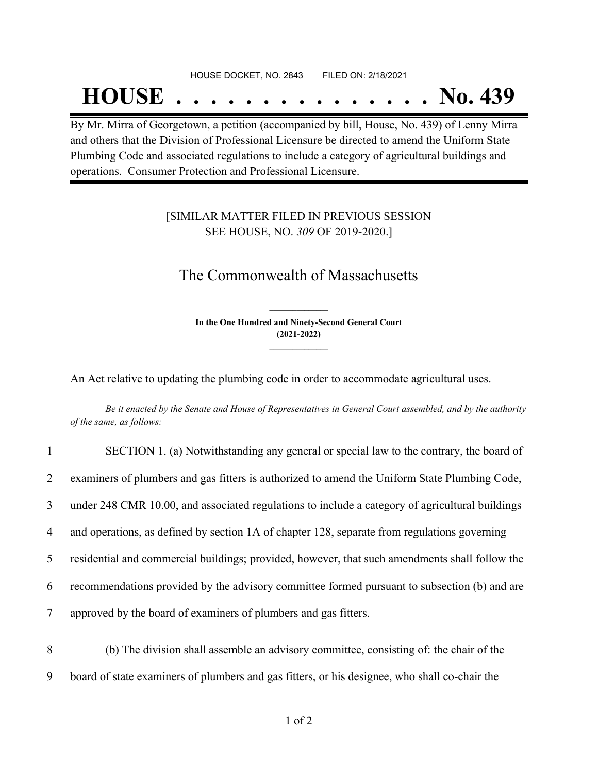## HOUSE DOCKET, NO. 2843 FILED ON: 2/18/2021

## **HOUSE . . . . . . . . . . . . . . . No. 439**

By Mr. Mirra of Georgetown, a petition (accompanied by bill, House, No. 439) of Lenny Mirra and others that the Division of Professional Licensure be directed to amend the Uniform State Plumbing Code and associated regulations to include a category of agricultural buildings and operations. Consumer Protection and Professional Licensure.

#### [SIMILAR MATTER FILED IN PREVIOUS SESSION SEE HOUSE, NO. *309* OF 2019-2020.]

### The Commonwealth of Massachusetts

**In the One Hundred and Ninety-Second General Court (2021-2022) \_\_\_\_\_\_\_\_\_\_\_\_\_\_\_**

**\_\_\_\_\_\_\_\_\_\_\_\_\_\_\_**

An Act relative to updating the plumbing code in order to accommodate agricultural uses.

Be it enacted by the Senate and House of Representatives in General Court assembled, and by the authority *of the same, as follows:*

| $\mathbf{1}$ | SECTION 1. (a) Notwithstanding any general or special law to the contrary, the board of         |
|--------------|-------------------------------------------------------------------------------------------------|
| 2            | examiners of plumbers and gas fitters is authorized to amend the Uniform State Plumbing Code,   |
| 3            | under 248 CMR 10.00, and associated regulations to include a category of agricultural buildings |
| 4            | and operations, as defined by section 1A of chapter 128, separate from regulations governing    |
| 5            | residential and commercial buildings; provided, however, that such amendments shall follow the  |
| 6            | recommendations provided by the advisory committee formed pursuant to subsection (b) and are    |
| $\tau$       | approved by the board of examiners of plumbers and gas fitters.                                 |

8 (b) The division shall assemble an advisory committee, consisting of: the chair of the 9 board of state examiners of plumbers and gas fitters, or his designee, who shall co-chair the